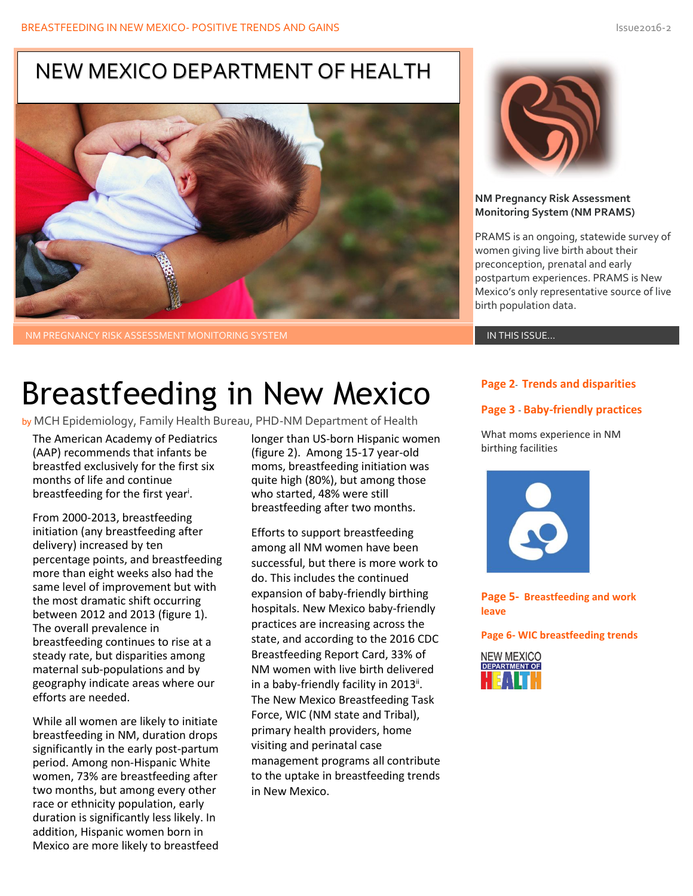### NEW MEXICO DEPARTMENT OF HEALTH



NM PREGNANCY RISK ASSESSMENT MONITORING SYSTEM IN THE SERVICE OF THE SERVICE IN THIS ISSUE…

# Breastfeeding in New Mexico

by MCH Epidemiology, Family Health Bureau, PHD-NM Department of Health

The American Academy of Pediatrics (AAP) recommends that infants be breastfed exclusively for the first six months of life and continue breastfeeding for the first year<sup>i</sup>.

From 2000-2013, breastfeeding initiation (any breastfeeding after delivery) increased by ten percentage points, and breastfeeding more than eight weeks also had the same level of improvement but with the most dramatic shift occurring between 2012 and 2013 (figure 1). The overall prevalence in breastfeeding continues to rise at a steady rate, but disparities among maternal sub-populations and by geography indicate areas where our efforts are needed.

While all women are likely to initiate breastfeeding in NM, duration drops significantly in the early post-partum period. Among non-Hispanic White women, 73% are breastfeeding after two months, but among every other race or ethnicity population, early duration is significantly less likely. In addition, Hispanic women born in Mexico are more likely to breastfeed longer than US-born Hispanic women (figure 2). Among 15-17 year-old moms, breastfeeding initiation was quite high (80%), but among those who started, 48% were still breastfeeding after two months.

Efforts to support breastfeeding among all NM women have been successful, but there is more work to do. This includes the continued expansion of baby-friendly birthing hospitals. New Mexico baby-friendly practices are increasing across the state, and according to the 2016 CDC Breastfeeding Report Card, 33% of NM women with live birth delivered in a baby-friendly facility in 2013<sup>ii</sup>. The New Mexico Breastfeeding Task Force, WIC (NM state and Tribal), primary health providers, home visiting and perinatal case management programs all contribute to the uptake in breastfeeding trends in New Mexico.



#### **NM Pregnancy Risk Assessment Monitoring System (NM PRAMS)**

PRAMS is an ongoing, statewide survey of women giving live birth about their preconception, prenatal and early postpartum experiences. PRAMS is New Mexico's only representative source of live birth population data.

### **Page 2**- **Trends and disparities**

### **Page 3** - **Baby-friendly practices**

What moms experience in NM birthing facilities



**Page 5- Breastfeeding and work leave**

**Page 6- WIC breastfeeding trends**

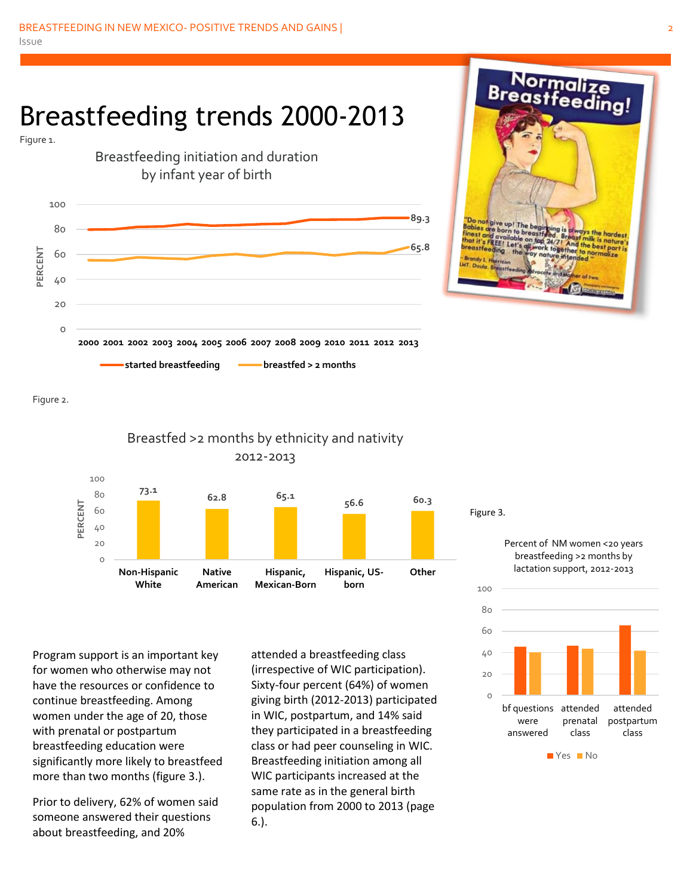## Breastfeeding trends 2000-2013





Figure 2.



Program support is an important key for women who otherwise may not have the resources or confidence to continue breastfeeding. Among women under the age of 20, those with prenatal or postpartum breastfeeding education were significantly more likely to breastfeed more than two months (figure 3.).

Prior to delivery, 62% of women said someone answered their questions about breastfeeding, and 20%

attended a breastfeeding class (irrespective of WIC participation). Sixty-four percent (64%) of women giving birth (2012-2013) participated in WIC, postpartum, and 14% said they participated in a breastfeeding class or had peer counseling in WIC. Breastfeeding initiation among all WIC participants increased at the same rate as in the general birth population from 2000 to 2013 (page 6.).

Figure 3.

Percent of NM women <20 years breastfeeding >2 months by lactation support, 2012-2013

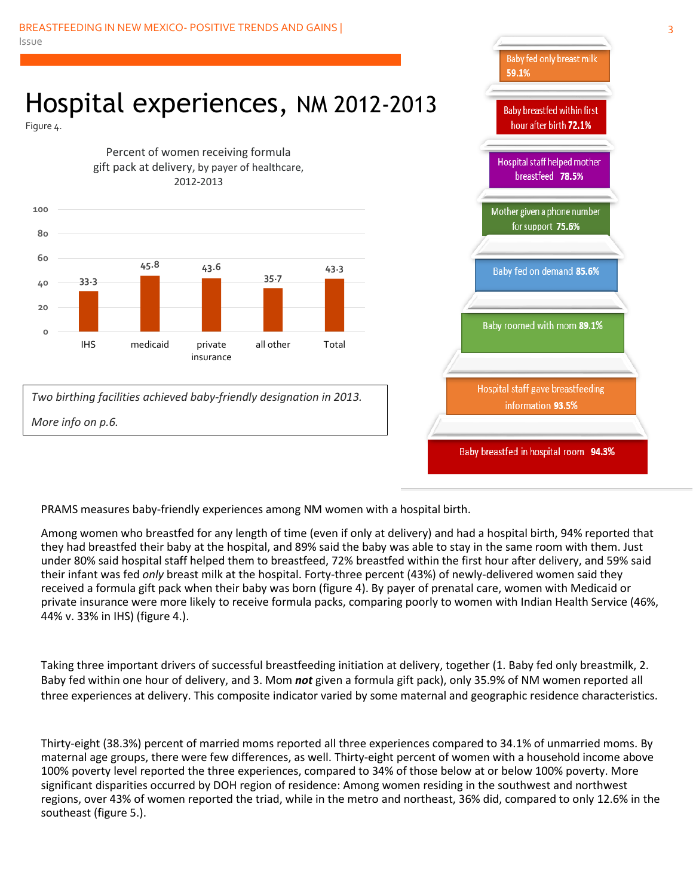## Hospital experiences, NM 2012-2013

Figure 4.



*Two birthing facilities achieved baby-friendly designation in 2013. More info on p.6.*



PRAMS measures baby-friendly experiences among NM women with a hospital birth.

Among women who breastfed for any length of time (even if only at delivery) and had a hospital birth, 94% reported that they had breastfed their baby at the hospital, and 89% said the baby was able to stay in the same room with them. Just under 80% said hospital staff helped them to breastfeed, 72% breastfed within the first hour after delivery, and 59% said their infant was fed *only* breast milk at the hospital. Forty-three percent (43%) of newly-delivered women said they received a formula gift pack when their baby was born (figure 4). By payer of prenatal care, women with Medicaid or private insurance were more likely to receive formula packs, comparing poorly to women with Indian Health Service (46%, 44% v. 33% in IHS) (figure 4.).

Taking three important drivers of successful breastfeeding initiation at delivery, together (1. Baby fed only breastmilk, 2. Baby fed within one hour of delivery, and 3. Mom *not* given a formula gift pack), only 35.9% of NM women reported all three experiences at delivery. This composite indicator varied by some maternal and geographic residence characteristics.

Thirty-eight (38.3%) percent of married moms reported all three experiences compared to 34.1% of unmarried moms. By maternal age groups, there were few differences, as well. Thirty-eight percent of women with a household income above 100% poverty level reported the three experiences, compared to 34% of those below at or below 100% poverty. More significant disparities occurred by DOH region of residence: Among women residing in the southwest and northwest regions, over 43% of women reported the triad, while in the metro and northeast, 36% did, compared to only 12.6% in the southeast (figure 5.).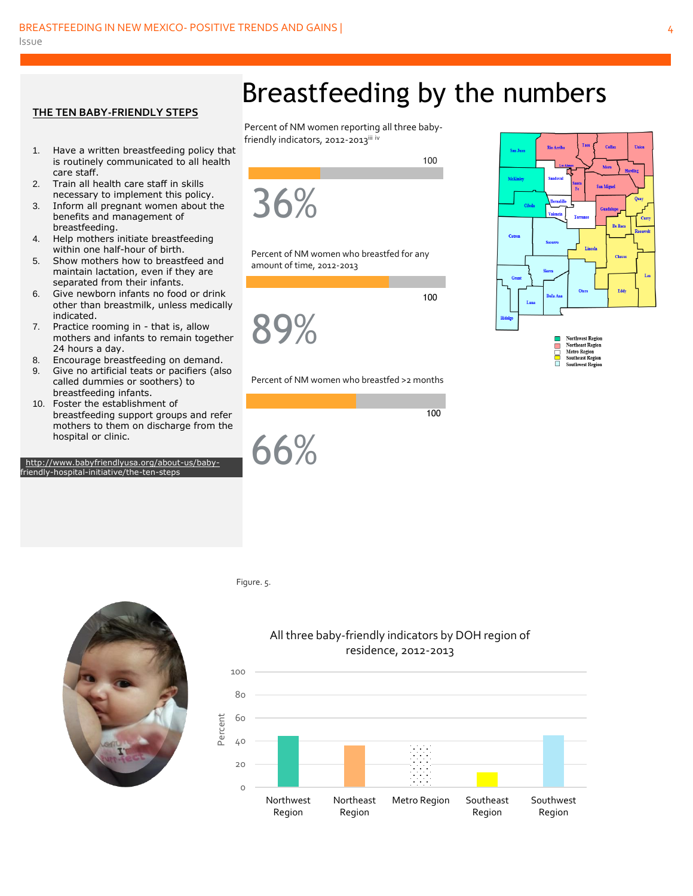#### **THE TEN BABY-FRIENDLY STEPS**

- 1. Have a written breastfeeding policy that is routinely communicated to all health care staff.
- 2. Train all health care staff in skills necessary to implement this policy.
- 3. Inform all pregnant women about the benefits and management of breastfeeding.
- 4. Help mothers initiate breastfeeding within one half-hour of birth.
- 5. Show mothers how to breastfeed and maintain lactation, even if they are separated from their infants.
- 6. Give newborn infants no food or drink other than breastmilk, unless medically indicated.
- 7. Practice rooming in that is, allow mothers and infants to remain together 24 hours a day.
- 8. Encourage breastfeeding on demand.
- 9. Give no artificial teats or pacifiers (also called dummies or soothers) to breastfeeding infants.
- 10. Foster the establishment of breastfeeding support groups and refer mothers to them on discharge from the hospital or clinic.

 [http://www.babyfriendlyusa.org/about-us/baby](http://www.babyfriendlyusa.org/about-us/baby-)friendly-hospital-initiative/the-ten-steps



Percent of NM women reporting all three babyfriendly indicators, 2012-2013<sup>iii iv</sup>



Percent of NM women who breastfed for any amount of time, 2012-2013

89%

<u>100</u>



#### Percent of NM women who breastfed >2 months





#### Figure. 5.

j

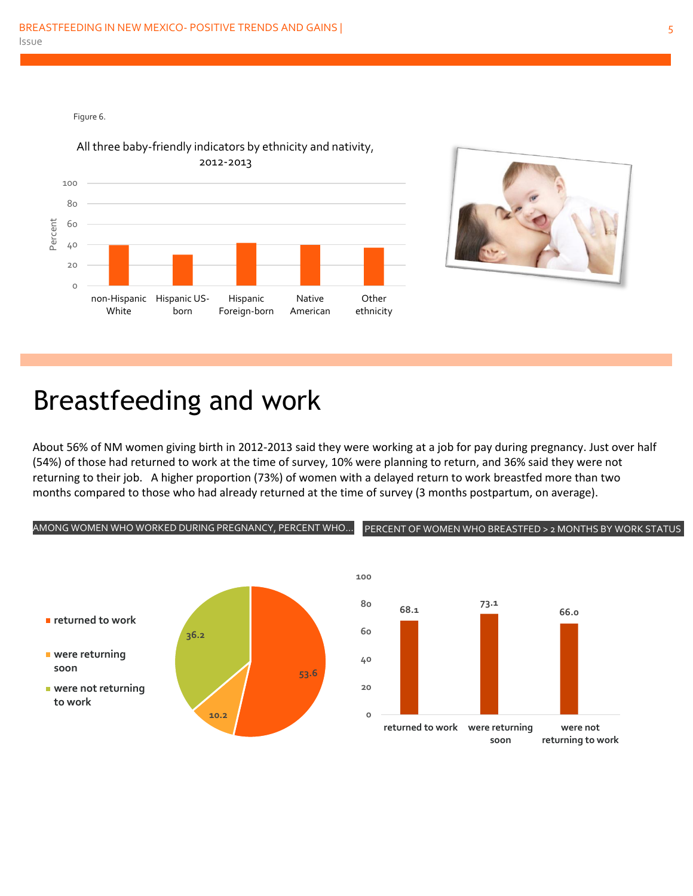Figure 6.





## Breastfeeding and work

About 56% of NM women giving birth in 2012-2013 said they were working at a job for pay during pregnancy. Just over half (54%) of those had returned to work at the time of survey, 10% were planning to return, and 36% said they were not returning to their job. A higher proportion (73%) of women with a delayed return to work breastfed more than two months compared to those who had already returned at the time of survey (3 months postpartum, on average).